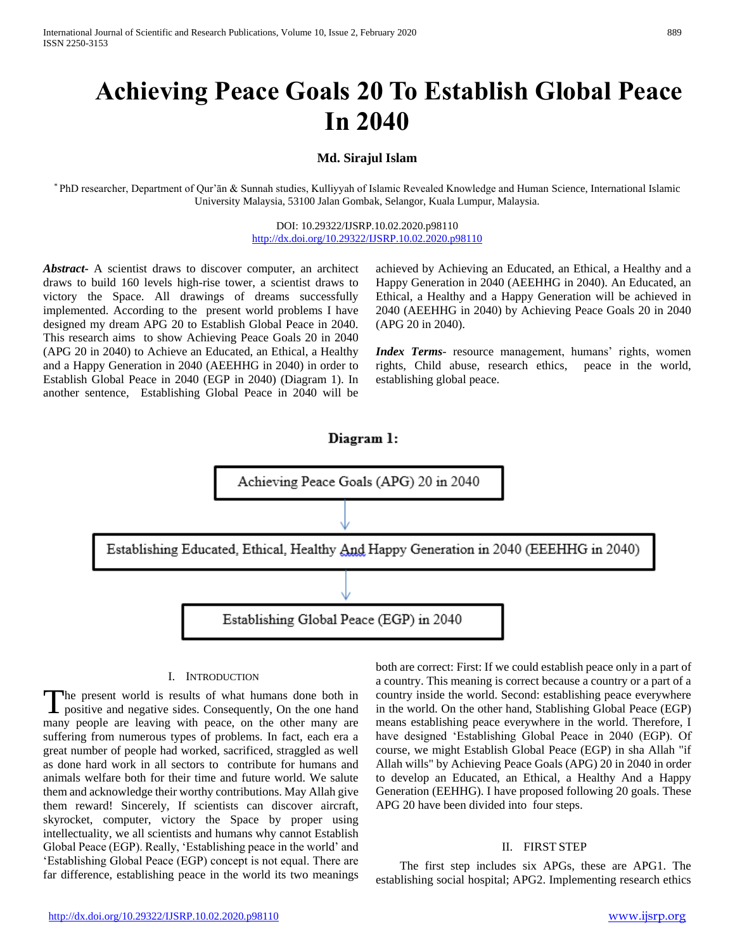# **Achieving Peace Goals 20 To Establish Global Peace In 2040**

## **Md. Sirajul Islam**

\* PhD researcher, Department of Qur'ān & Sunnah studies, Kulliyyah of Islamic Revealed Knowledge and Human Science, International Islamic University Malaysia, 53100 Jalan Gombak, Selangor, Kuala Lumpur, Malaysia.

> DOI: 10.29322/IJSRP.10.02.2020.p98110 <http://dx.doi.org/10.29322/IJSRP.10.02.2020.p98110>

*Abstract***-** A scientist draws to discover computer, an architect draws to build 160 levels high-rise tower, a scientist draws to victory the Space. All drawings of dreams successfully implemented. According to the present world problems I have designed my dream APG 20 to Establish Global Peace in 2040. This research aims to show Achieving Peace Goals 20 in 2040 (APG 20 in 2040) to Achieve an Educated, an Ethical, a Healthy and a Happy Generation in 2040 (AEEHHG in 2040) in order to Establish Global Peace in 2040 (EGP in 2040) (Diagram 1). In another sentence, Establishing Global Peace in 2040 will be

achieved by Achieving an Educated, an Ethical, a Healthy and a Happy Generation in 2040 (AEEHHG in 2040). An Educated, an Ethical, a Healthy and a Happy Generation will be achieved in 2040 (AEEHHG in 2040) by Achieving Peace Goals 20 in 2040 (APG 20 in 2040).

*Index Terms*- resource management, humans' rights, women rights, Child abuse, research ethics, peace in the world, establishing global peace.



#### I. INTRODUCTION

he present world is results of what humans done both in positive and negative sides. Consequently, On the one hand many people are leaving with peace, on the other many are suffering from numerous types of problems. In fact, each era a great number of people had worked, sacrificed, straggled as well as done hard work in all sectors to contribute for humans and animals welfare both for their time and future world. We salute them and acknowledge their worthy contributions. May Allah give them reward! Sincerely, If scientists can discover aircraft, skyrocket, computer, victory the Space by proper using intellectuality, we all scientists and humans why cannot Establish Global Peace (EGP). Really, 'Establishing peace in the world' and 'Establishing Global Peace (EGP) concept is not equal. There are far difference, establishing peace in the world its two meanings T

both are correct: First: If we could establish peace only in a part of a country. This meaning is correct because a country or a part of a country inside the world. Second: establishing peace everywhere in the world. On the other hand, Stablishing Global Peace (EGP) means establishing peace everywhere in the world. Therefore, I have designed 'Establishing Global Peace in 2040 (EGP). Of course, we might Establish Global Peace (EGP) in sha Allah "if Allah wills" by Achieving Peace Goals (APG) 20 in 2040 in order to develop an Educated, an Ethical, a Healthy And a Happy Generation (EEHHG). I have proposed following 20 goals. These APG 20 have been divided into four steps.

## II. FIRST STEP

 The first step includes six APGs, these are APG1. The establishing social hospital; APG2. Implementing research ethics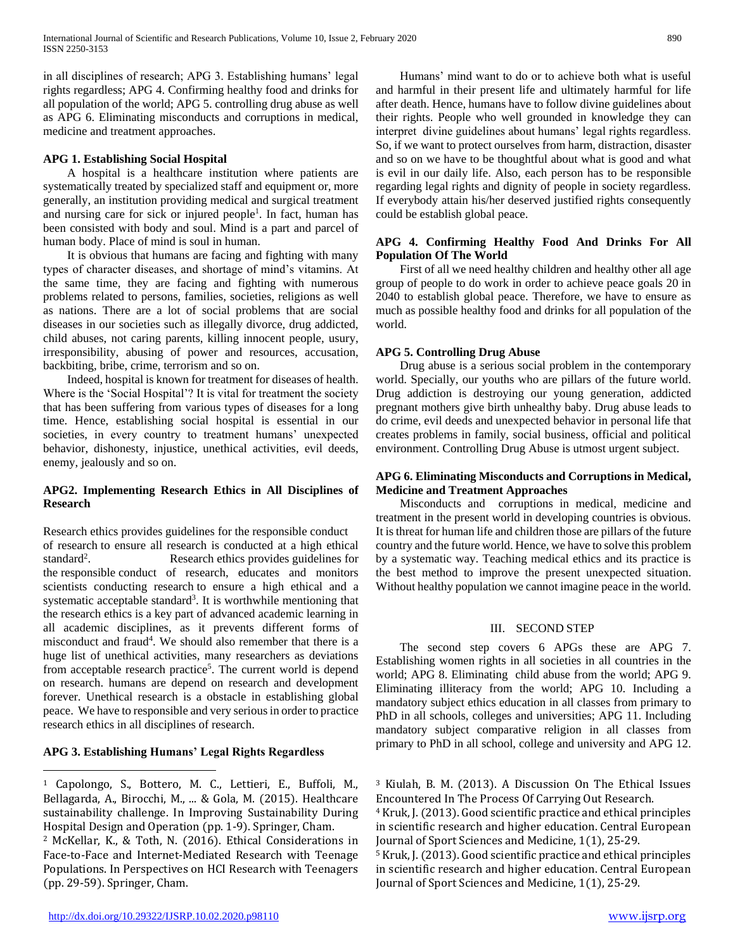in all disciplines of research; APG 3. Establishing humans' legal rights regardless; APG 4. Confirming healthy food and drinks for all population of the world; APG 5. controlling drug abuse as well as APG 6. Eliminating misconducts and corruptions in medical, medicine and treatment approaches.

## **APG 1. Establishing Social Hospital**

 A hospital is a healthcare institution where patients are systematically treated by specialized staff and equipment or, more generally, an institution providing medical and surgical treatment and nursing care for sick or injured people<sup>1</sup>. In fact, human has been consisted with body and soul. Mind is a part and parcel of human body. Place of mind is soul in human.

 It is obvious that humans are facing and fighting with many types of character diseases, and shortage of mind's vitamins. At the same time, they are facing and fighting with numerous problems related to persons, families, societies, religions as well as nations. There are a lot of social problems that are social diseases in our societies such as illegally divorce, drug addicted, child abuses, not caring parents, killing innocent people, usury, irresponsibility, abusing of power and resources, accusation, backbiting, bribe, crime, terrorism and so on.

 Indeed, hospital is known for treatment for diseases of health. Where is the 'Social Hospital'? It is vital for treatment the society that has been suffering from various types of diseases for a long time. Hence, establishing social hospital is essential in our societies, in every country to treatment humans' unexpected behavior, dishonesty, injustice, unethical activities, evil deeds, enemy, jealously and so on.

# **APG2. Implementing Research Ethics in All Disciplines of Research**

Research ethics provides guidelines for the responsible conduct of research to ensure all research is conducted at a high ethical standard<sup>2</sup>. . Research ethics provides guidelines for the responsible conduct of research, educates and monitors scientists conducting research to ensure a high ethical and a systematic acceptable standard<sup>3</sup>. It is worthwhile mentioning that the research ethics is a key part of advanced academic learning in all academic disciplines, as it prevents different forms of misconduct and fraud<sup>4</sup>. We should also remember that there is a huge list of unethical activities, many researchers as deviations from acceptable research practice<sup>5</sup>. The current world is depend on research. humans are depend on research and development forever. Unethical research is a obstacle in establishing global peace. We have to responsible and very serious in order to practice research ethics in all disciplines of research.

# **APG 3. Establishing Humans' Legal Rights Regardless**

 $\overline{a}$ 

 Humans' mind want to do or to achieve both what is useful and harmful in their present life and ultimately harmful for life after death. Hence, humans have to follow divine guidelines about their rights. People who well grounded in knowledge they can interpret divine guidelines about humans' legal rights regardless. So, if we want to protect ourselves from harm, distraction, disaster and so on we have to be thoughtful about what is good and what is evil in our daily life. Also, each person has to be responsible regarding legal rights and dignity of people in society regardless. If everybody attain his/her deserved justified rights consequently could be establish global peace.

#### **APG 4. Confirming Healthy Food And Drinks For All Population Of The World**

 First of all we need healthy children and healthy other all age group of people to do work in order to achieve peace goals 20 in 2040 to establish global peace. Therefore, we have to ensure as much as possible healthy food and drinks for all population of the world.

## **APG 5. Controlling Drug Abuse**

 Drug abuse is a serious social problem in the contemporary world. Specially, our youths who are pillars of the future world. Drug addiction is destroying our young generation, addicted pregnant mothers give birth unhealthy baby. Drug abuse leads to do crime, evil deeds and unexpected behavior in personal life that creates problems in family, social business, official and political environment. Controlling Drug Abuse is utmost urgent subject.

#### **APG 6. Eliminating Misconducts and Corruptions in Medical, Medicine and Treatment Approaches**

 Misconducts and corruptions in medical, medicine and treatment in the present world in developing countries is obvious. It is threat for human life and children those are pillars of the future country and the future world. Hence, we have to solve this problem by a systematic way. Teaching medical ethics and its practice is the best method to improve the present unexpected situation. Without healthy population we cannot imagine peace in the world.

## III. SECOND STEP

 The second step covers 6 APGs these are APG 7. Establishing women rights in all societies in all countries in the world; APG 8. Eliminating child abuse from the world; APG 9. Eliminating illiteracy from the world; APG 10. Including a mandatory subject ethics education in all classes from primary to PhD in all schools, colleges and universities; APG 11. Including mandatory subject comparative religion in all classes from primary to PhD in all school, college and university and APG 12.

<sup>3</sup> Kiulah, B. M. (2013). A Discussion On The Ethical Issues Encountered In The Process Of Carrying Out Research.

<sup>4</sup> Kruk, J. (2013). Good scientific practice and ethical principles in scientific research and higher education. Central European Journal of Sport Sciences and Medicine, 1(1), 25-29.

<sup>5</sup> Kruk, J. (2013). Good scientific practice and ethical principles in scientific research and higher education. Central European Journal of Sport Sciences and Medicine, 1(1), 25-29.

<sup>1</sup> Capolongo, S., Bottero, M. C., Lettieri, E., Buffoli, M., Bellagarda, A., Birocchi, M., ... & Gola, M. (2015). Healthcare sustainability challenge. In Improving Sustainability During Hospital Design and Operation (pp. 1-9). Springer, Cham.

<sup>2</sup> McKellar, K., & Toth, N. (2016). Ethical Considerations in Face-to-Face and Internet-Mediated Research with Teenage Populations. In Perspectives on HCI Research with Teenagers (pp. 29-59). Springer, Cham.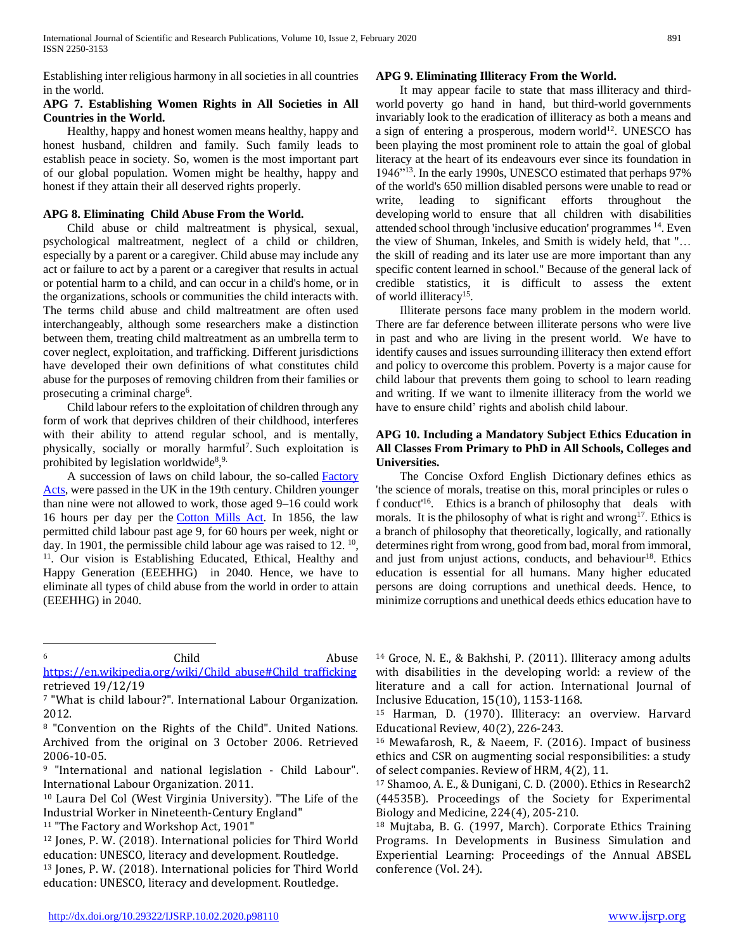Establishing inter religious harmony in all societies in all countries in the world.

#### **APG 7. Establishing Women Rights in All Societies in All Countries in the World.**

 Healthy, happy and honest women means healthy, happy and honest husband, children and family. Such family leads to establish peace in society. So, women is the most important part of our global population. Women might be healthy, happy and honest if they attain their all deserved rights properly.

## **APG 8. Eliminating Child Abuse From the World.**

 Child abuse or child maltreatment is physical, sexual, psychological maltreatment, neglect of a child or children, especially by a parent or a caregiver. Child abuse may include any act or failure to act by a parent or a caregiver that results in actual or potential harm to a child, and can occur in a child's home, or in the organizations, schools or communities the child interacts with. The terms child abuse and child maltreatment are often used interchangeably, although some researchers make a distinction between them, treating child maltreatment as an umbrella term to cover neglect, exploitation, and trafficking. Different jurisdictions have developed their own definitions of what constitutes child abuse for the purposes of removing children from their families or prosecuting a criminal charge<sup>6</sup>.

 Child labour refers to the exploitation of children through any form of work that deprives children of their childhood, interferes with their ability to attend regular school, and is mentally, physically, socially or morally harmful<sup>7</sup>. Such exploitation is prohibited by legislation worldwide<sup>8,9.</sup>

 A succession of laws on child labour, the so-called [Factory](https://en.wikipedia.org/wiki/Factory_Acts)  [Acts,](https://en.wikipedia.org/wiki/Factory_Acts) were passed in the UK in the 19th century. Children younger than nine were not allowed to work, those aged 9–16 could work 16 hours per day per the [Cotton Mills Act.](https://en.wikipedia.org/wiki/Cotton_Mills,_etc._Act_1819) In 1856, the law permitted child labour past age 9, for 60 hours per week, night or day. In 1901, the permissible child labour age was raised to  $12.^{10}$ , <sup>11</sup>. Our vision is Establishing Educated, Ethical, Healthy and Happy Generation (EEEHHG) in 2040. Hence, we have to eliminate all types of child abuse from the world in order to attain (EEEHHG) in 2040.

 $\overline{a}$ 

6 Child Child Abuse

[https://en.wikipedia.org/wiki/Child\\_abuse#Child\\_trafficking](https://en.wikipedia.org/wiki/Child_abuse#Child_trafficking) retrieved 19/12/19

#### **APG 9. Eliminating Illiteracy From the World.**

 It may appear facile to state that mass illiteracy and thirdworld poverty go hand in hand, but third-world governments invariably look to the eradication of illiteracy as both a means and a sign of entering a prosperous, modern world<sup>12</sup>. UNESCO has been playing the most prominent role to attain the goal of global literacy at the heart of its endeavours ever since its foundation in 1946"<sup>13</sup>. In the early 1990s, UNESCO estimated that perhaps 97% of the world's 650 million disabled persons were unable to read or write, leading to significant efforts throughout the developing world to ensure that all children with disabilities attended school through 'inclusive education' programmes <sup>14</sup>. Even the view of Shuman, Inkeles, and Smith is widely held, that "… the skill of reading and its later use are more important than any specific content learned in school." Because of the general lack of credible statistics, it is difficult to assess the extent of world illiteracy<sup>15</sup>.

 Illiterate persons face many problem in the modern world. There are far deference between illiterate persons who were live in past and who are living in the present world. We have to identify causes and issues surrounding illiteracy then extend effort and policy to overcome this problem. Poverty is a major cause for child labour that prevents them going to school to learn reading and writing. If we want to ilmenite illiteracy from the world we have to ensure child' rights and abolish child labour.

## **APG 10. Including a Mandatory Subject Ethics Education in All Classes From Primary to PhD in All Schools, Colleges and Universities.**

 The Concise Oxford English Dictionary defines ethics as 'the science of morals, treatise on this, moral principles or rules o f conduct'<sup>16</sup>. Ethics is a branch of philosophy that deals with morals. It is the philosophy of what is right and wrong<sup>17</sup>. Ethics is a branch of philosophy that theoretically, logically, and rationally determines right from wrong, good from bad, moral from immoral, and just from unjust actions, conducts, and behaviour<sup>18</sup>. Ethics education is essential for all humans. Many higher educated persons are doing corruptions and unethical deeds. Hence, to minimize corruptions and unethical deeds ethics education have to

<sup>14</sup> Groce, N. E., & Bakhshi, P. (2011). Illiteracy among adults with disabilities in the developing world: a review of the literature and a call for action. International Journal of Inclusive Education, 15(10), 1153-1168.

<sup>15</sup> Harman, D. (1970). Illiteracy: an overview. Harvard Educational Review, 40(2), 226-243.

<sup>16</sup> Mewafarosh, R., & Naeem, F. (2016). Impact of business ethics and CSR on augmenting social responsibilities: a study of select companies. Review of HRM, 4(2), 11.

<sup>17</sup> Shamoo, A. E., & Dunigani, C. D. (2000). Ethics in Research2 (44535B). Proceedings of the Society for Experimental Biology and Medicine, 224(4), 205-210.

<sup>18</sup> Mujtaba, B. G. (1997, March). Corporate Ethics Training Programs. In Developments in Business Simulation and Experiential Learning: Proceedings of the Annual ABSEL conference (Vol. 24).

<sup>7</sup> "What is child labour?". International Labour Organization. 2012.

<sup>8</sup> "Convention on the Rights of the Child". United Nations. Archived from the original on 3 October 2006. Retrieved 2006-10-05.

<sup>9</sup> "International and national legislation - Child Labour". International Labour Organization. 2011.

<sup>10</sup> Laura Del Col (West Virginia University). "The Life of the Industrial Worker in Nineteenth-Century England"

<sup>&</sup>lt;sup>11</sup> "The Factory and Workshop Act, 1901"

<sup>12</sup> Jones, P. W. (2018). International policies for Third World education: UNESCO, literacy and development. Routledge.

<sup>13</sup> Jones, P. W. (2018). International policies for Third World education: UNESCO, literacy and development. Routledge.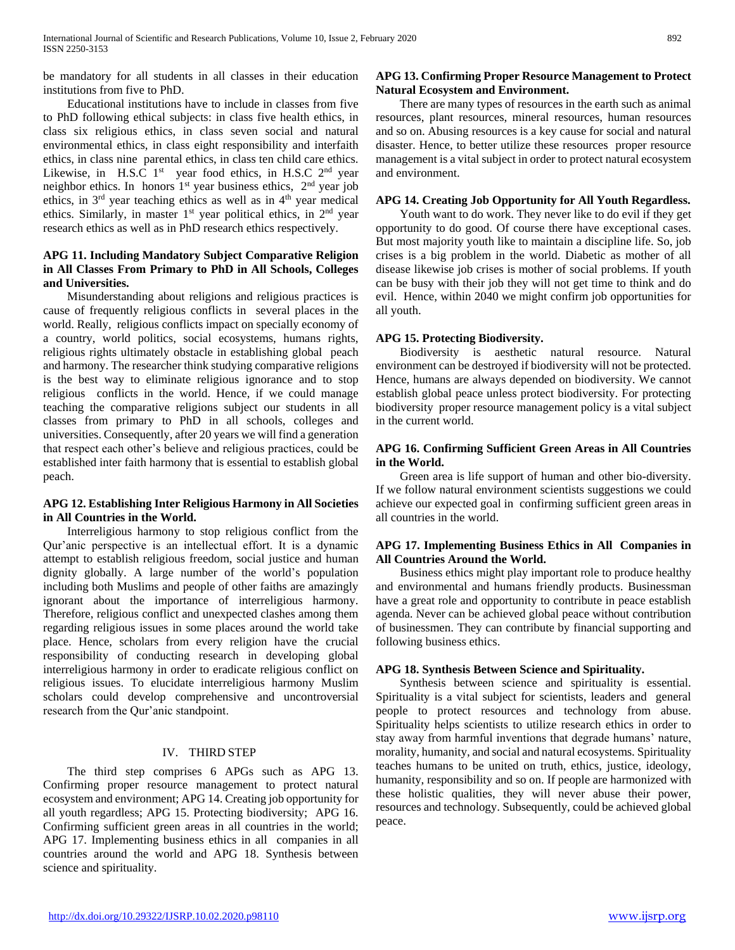be mandatory for all students in all classes in their education institutions from five to PhD.

 Educational institutions have to include in classes from five to PhD following ethical subjects: in class five health ethics, in class six religious ethics, in class seven social and natural environmental ethics, in class eight responsibility and interfaith ethics, in class nine parental ethics, in class ten child care ethics. Likewise, in H.S.C  $1<sup>st</sup>$  year food ethics, in H.S.C  $2<sup>nd</sup>$  year neighbor ethics. In honors  $1<sup>st</sup>$  year business ethics,  $2<sup>nd</sup>$  year job ethics, in  $3<sup>rd</sup>$  year teaching ethics as well as in  $4<sup>th</sup>$  year medical ethics. Similarly, in master  $1<sup>st</sup>$  year political ethics, in  $2<sup>nd</sup>$  year research ethics as well as in PhD research ethics respectively.

#### **APG 11. Including Mandatory Subject Comparative Religion in All Classes From Primary to PhD in All Schools, Colleges and Universities.**

 Misunderstanding about religions and religious practices is cause of frequently religious conflicts in several places in the world. Really, religious conflicts impact on specially economy of a country, world politics, social ecosystems, humans rights, religious rights ultimately obstacle in establishing global peach and harmony. The researcher think studying comparative religions is the best way to eliminate religious ignorance and to stop religious conflicts in the world. Hence, if we could manage teaching the comparative religions subject our students in all classes from primary to PhD in all schools, colleges and universities. Consequently, after 20 years we will find a generation that respect each other's believe and religious practices, could be established inter faith harmony that is essential to establish global peach.

#### **APG 12. Establishing Inter Religious Harmony in All Societies in All Countries in the World.**

 Interreligious harmony to stop religious conflict from the Qur'anic perspective is an intellectual effort. It is a dynamic attempt to establish religious freedom, social justice and human dignity globally. A large number of the world's population including both Muslims and people of other faiths are amazingly ignorant about the importance of interreligious harmony. Therefore, religious conflict and unexpected clashes among them regarding religious issues in some places around the world take place. Hence, scholars from every religion have the crucial responsibility of conducting research in developing global interreligious harmony in order to eradicate religious conflict on religious issues. To elucidate interreligious harmony Muslim scholars could develop comprehensive and uncontroversial research from the Qur'anic standpoint.

## IV. THIRD STEP

 The third step comprises 6 APGs such as APG 13. Confirming proper resource management to protect natural ecosystem and environment; APG 14. Creating job opportunity for all youth regardless; APG 15. Protecting biodiversity; APG 16. Confirming sufficient green areas in all countries in the world; APG 17. Implementing business ethics in all companies in all countries around the world and APG 18. Synthesis between science and spirituality.

## **APG 13. Confirming Proper Resource Management to Protect Natural Ecosystem and Environment.**

 There are many types of resources in the earth such as animal resources, plant resources, mineral resources, human resources and so on. Abusing resources is a key cause for social and natural disaster. Hence, to better utilize these resources proper resource management is a vital subject in order to protect natural ecosystem and environment.

#### **APG 14. Creating Job Opportunity for All Youth Regardless.**

 Youth want to do work. They never like to do evil if they get opportunity to do good. Of course there have exceptional cases. But most majority youth like to maintain a discipline life. So, job crises is a big problem in the world. Diabetic as mother of all disease likewise job crises is mother of social problems. If youth can be busy with their job they will not get time to think and do evil. Hence, within 2040 we might confirm job opportunities for all youth.

#### **APG 15. Protecting Biodiversity.**

 Biodiversity is aesthetic natural resource. Natural environment can be destroyed if biodiversity will not be protected. Hence, humans are always depended on biodiversity. We cannot establish global peace unless protect biodiversity. For protecting biodiversity proper resource management policy is a vital subject in the current world.

#### **APG 16. Confirming Sufficient Green Areas in All Countries in the World.**

 Green area is life support of human and other bio-diversity. If we follow natural environment scientists suggestions we could achieve our expected goal in confirming sufficient green areas in all countries in the world.

#### **APG 17. Implementing Business Ethics in All Companies in All Countries Around the World.**

 Business ethics might play important role to produce healthy and environmental and humans friendly products. Businessman have a great role and opportunity to contribute in peace establish agenda. Never can be achieved global peace without contribution of businessmen. They can contribute by financial supporting and following business ethics.

## **APG 18. Synthesis Between Science and Spirituality.**

 Synthesis between science and spirituality is essential. Spirituality is a vital subject for scientists, leaders and general people to protect resources and technology from abuse. Spirituality helps scientists to utilize research ethics in order to stay away from harmful inventions that degrade humans' nature, morality, humanity, and social and natural ecosystems. Spirituality teaches humans to be united on truth, ethics, justice, ideology, humanity, responsibility and so on. If people are harmonized with these holistic qualities, they will never abuse their power, resources and technology. Subsequently, could be achieved global peace.